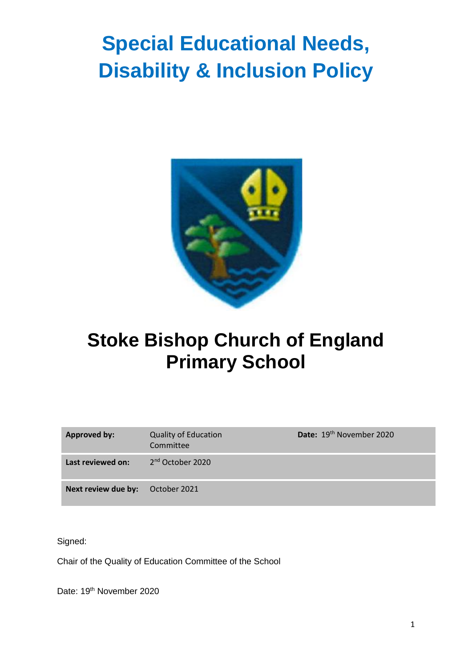# **Special Educational Needs, Disability & Inclusion Policy**



# **Stoke Bishop Church of England Primary School**

| <b>Approved by:</b> | <b>Quality of Education</b><br>Committee | Date: 19th November 2020 |
|---------------------|------------------------------------------|--------------------------|
| Last reviewed on:   | 2 <sup>nd</sup> October 2020             |                          |
| Next review due by: | October 2021                             |                          |

Signed:

Chair of the Quality of Education Committee of the School

Date: 19<sup>th</sup> November 2020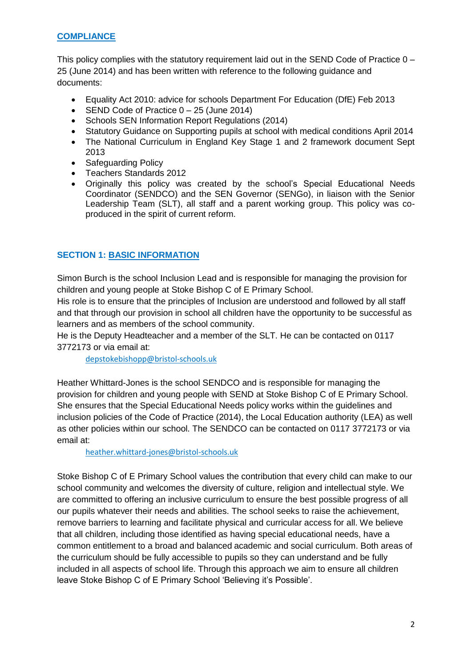#### **COMPLIANCE**

This policy complies with the statutory requirement laid out in the SEND Code of Practice 0 – 25 (June 2014) and has been written with reference to the following guidance and documents:

- Equality Act 2010: advice for schools Department For Education (DfE) Feb 2013
- SEND Code of Practice 0 25 (June 2014)
- Schools SEN Information Report Regulations (2014)
- Statutory Guidance on Supporting pupils at school with medical conditions April 2014
- The National Curriculum in England Key Stage 1 and 2 framework document Sept 2013
- Safeguarding Policy
- Teachers Standards 2012
- Originally this policy was created by the school's Special Educational Needs Coordinator (SENDCO) and the SEN Governor (SENGo), in liaison with the Senior Leadership Team (SLT), all staff and a parent working group. This policy was coproduced in the spirit of current reform.

#### **SECTION 1: BASIC INFORMATION**

Simon Burch is the school Inclusion Lead and is responsible for managing the provision for children and young people at Stoke Bishop C of E Primary School.

His role is to ensure that the principles of Inclusion are understood and followed by all staff and that through our provision in school all children have the opportunity to be successful as learners and as members of the school community.

He is the Deputy Headteacher and a member of the SLT. He can be contacted on 0117 3772173 or via email at:

[depstokebishopp@bristol-schools.uk](mailto:depstokebishopp@bristol-schools.uk)

Heather Whittard-Jones is the school SENDCO and is responsible for managing the provision for children and young people with SEND at Stoke Bishop C of E Primary School. She ensures that the Special Educational Needs policy works within the guidelines and inclusion policies of the Code of Practice (2014), the Local Education authority (LEA) as well as other policies within our school. The SENDCO can be contacted on 0117 3772173 or via email at:

[heather.whittard-jones@bristol-schools.uk](mailto:heather.whittard-jones@bristol-schools.uk)

Stoke Bishop C of E Primary School values the contribution that every child can make to our school community and welcomes the diversity of culture, religion and intellectual style. We are committed to offering an inclusive curriculum to ensure the best possible progress of all our pupils whatever their needs and abilities. The school seeks to raise the achievement, remove barriers to learning and facilitate physical and curricular access for all. We believe that all children, including those identified as having special educational needs, have a common entitlement to a broad and balanced academic and social curriculum. Both areas of the curriculum should be fully accessible to pupils so they can understand and be fully included in all aspects of school life. Through this approach we aim to ensure all children leave Stoke Bishop C of E Primary School 'Believing it's Possible'.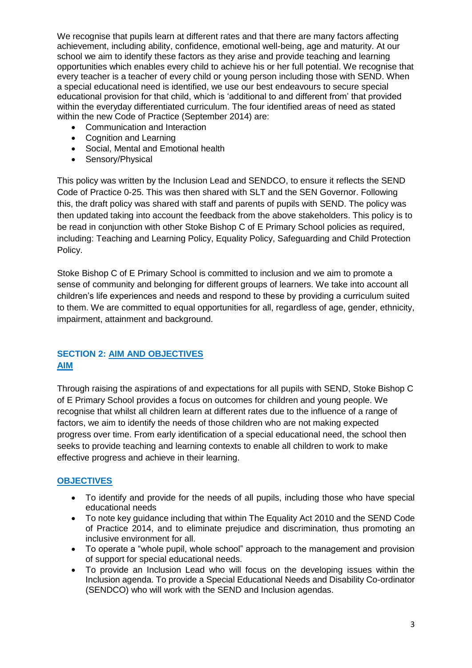We recognise that pupils learn at different rates and that there are many factors affecting achievement, including ability, confidence, emotional well-being, age and maturity. At our school we aim to identify these factors as they arise and provide teaching and learning opportunities which enables every child to achieve his or her full potential. We recognise that every teacher is a teacher of every child or young person including those with SEND. When a special educational need is identified, we use our best endeavours to secure special educational provision for that child, which is 'additional to and different from' that provided within the everyday differentiated curriculum. The four identified areas of need as stated within the new Code of Practice (September 2014) are:

- Communication and Interaction
- Cognition and Learning
- Social, Mental and Emotional health
- Sensory/Physical

This policy was written by the Inclusion Lead and SENDCO, to ensure it reflects the SEND Code of Practice 0-25. This was then shared with SLT and the SEN Governor. Following this, the draft policy was shared with staff and parents of pupils with SEND. The policy was then updated taking into account the feedback from the above stakeholders. This policy is to be read in conjunction with other Stoke Bishop C of E Primary School policies as required, including: Teaching and Learning Policy, Equality Policy, Safeguarding and Child Protection Policy.

Stoke Bishop C of E Primary School is committed to inclusion and we aim to promote a sense of community and belonging for different groups of learners. We take into account all children's life experiences and needs and respond to these by providing a curriculum suited to them. We are committed to equal opportunities for all, regardless of age, gender, ethnicity, impairment, attainment and background.

#### **SECTION 2: AIM AND OBJECTIVES AIM**

Through raising the aspirations of and expectations for all pupils with SEND, Stoke Bishop C of E Primary School provides a focus on outcomes for children and young people. We recognise that whilst all children learn at different rates due to the influence of a range of factors, we aim to identify the needs of those children who are not making expected progress over time. From early identification of a special educational need, the school then seeks to provide teaching and learning contexts to enable all children to work to make effective progress and achieve in their learning.

#### **OBJECTIVES**

- To identify and provide for the needs of all pupils, including those who have special educational needs
- To note key guidance including that within The Equality Act 2010 and the SEND Code of Practice 2014, and to eliminate prejudice and discrimination, thus promoting an inclusive environment for all.
- To operate a "whole pupil, whole school" approach to the management and provision of support for special educational needs.
- To provide an Inclusion Lead who will focus on the developing issues within the Inclusion agenda. To provide a Special Educational Needs and Disability Co-ordinator (SENDCO) who will work with the SEND and Inclusion agendas.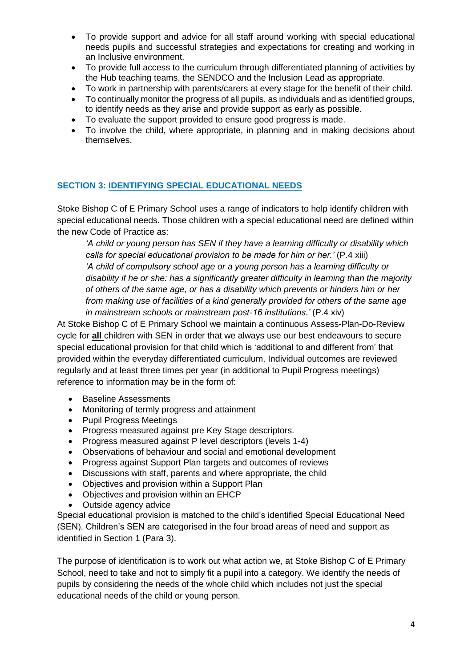- To provide support and advice for all staff around working with special educational needs pupils and successful strategies and expectations for creating and working in an Inclusive environment.
- To provide full access to the curriculum through differentiated planning of activities by the Hub teaching teams, the SENDCO and the Inclusion Lead as appropriate.
- To work in partnership with parents/carers at every stage for the benefit of their child.
- To continually monitor the progress of all pupils, as individuals and as identified groups, to identify needs as they arise and provide support as early as possible.
- To evaluate the support provided to ensure good progress is made.
- To involve the child, where appropriate, in planning and in making decisions about themselves.

#### **SECTION 3: IDENTIFYING SPECIAL EDUCATIONAL NEEDS**

Stoke Bishop C of E Primary School uses a range of indicators to help identify children with special educational needs. Those children with a special educational need are defined within the new Code of Practice as:

*'A child or young person has SEN if they have a learning difficulty or disability which calls for special educational provision to be made for him or her.'* (P.4 xiii) *'A child of compulsory school age or a young person has a learning difficulty or disability if he or she: has a significantly greater difficulty in learning than the majority of others of the same age, or has a disability which prevents or hinders him or her from making use of facilities of a kind generally provided for others of the same age in mainstream schools or mainstream post-16 institutions.'* (P.4 xiv)

At Stoke Bishop C of E Primary School we maintain a continuous Assess-Plan-Do-Review cycle for **all** children with SEN in order that we always use our best endeavours to secure special educational provision for that child which is 'additional to and different from' that provided within the everyday differentiated curriculum. Individual outcomes are reviewed regularly and at least three times per year (in additional to Pupil Progress meetings) reference to information may be in the form of:

- Baseline Assessments
- Monitoring of termly progress and attainment
- Pupil Progress Meetings
- Progress measured against pre Key Stage descriptors.
- Progress measured against P level descriptors (levels 1-4)
- Observations of behaviour and social and emotional development
- Progress against Support Plan targets and outcomes of reviews
- Discussions with staff, parents and where appropriate, the child
- Objectives and provision within a Support Plan
- Objectives and provision within an EHCP
- Outside agency advice

Special educational provision is matched to the child's identified Special Educational Need (SEN). Children's SEN are categorised in the four broad areas of need and support as identified in Section 1 (Para 3).

The purpose of identification is to work out what action we, at Stoke Bishop C of E Primary School, need to take and not to simply fit a pupil into a category. We identify the needs of pupils by considering the needs of the whole child which includes not just the special educational needs of the child or young person.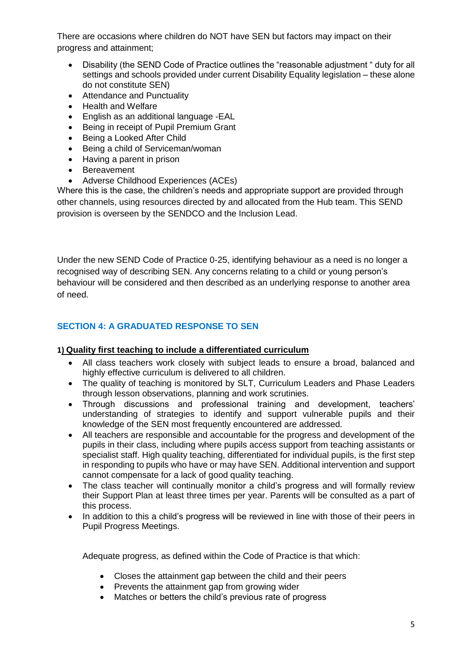There are occasions where children do NOT have SEN but factors may impact on their progress and attainment;

- Disability (the SEND Code of Practice outlines the "reasonable adjustment " duty for all settings and schools provided under current Disability Equality legislation – these alone do not constitute SEN)
- Attendance and Punctuality
- Health and Welfare
- English as an additional language -EAL
- Being in receipt of Pupil Premium Grant
- Being a Looked After Child
- Being a child of Serviceman/woman
- Having a parent in prison
- Bereavement
- Adverse Childhood Experiences (ACEs)

Where this is the case, the children's needs and appropriate support are provided through other channels, using resources directed by and allocated from the Hub team. This SEND provision is overseen by the SENDCO and the Inclusion Lead.

Under the new SEND Code of Practice 0-25, identifying behaviour as a need is no longer a recognised way of describing SEN. Any concerns relating to a child or young person's behaviour will be considered and then described as an underlying response to another area of need.

#### **SECTION 4: A GRADUATED RESPONSE TO SEN**

#### **1) Quality first teaching to include a differentiated curriculum**

- All class teachers work closely with subject leads to ensure a broad, balanced and highly effective curriculum is delivered to all children.
- The quality of teaching is monitored by SLT, Curriculum Leaders and Phase Leaders through lesson observations, planning and work scrutinies.
- Through discussions and professional training and development, teachers' understanding of strategies to identify and support vulnerable pupils and their knowledge of the SEN most frequently encountered are addressed.
- All teachers are responsible and accountable for the progress and development of the pupils in their class, including where pupils access support from teaching assistants or specialist staff. High quality teaching, differentiated for individual pupils, is the first step in responding to pupils who have or may have SEN. Additional intervention and support cannot compensate for a lack of good quality teaching.
- The class teacher will continually monitor a child's progress and will formally review their Support Plan at least three times per year. Parents will be consulted as a part of this process.
- In addition to this a child's progress will be reviewed in line with those of their peers in Pupil Progress Meetings.

Adequate progress, as defined within the Code of Practice is that which:

- Closes the attainment gap between the child and their peers
- Prevents the attainment gap from growing wider
- Matches or betters the child's previous rate of progress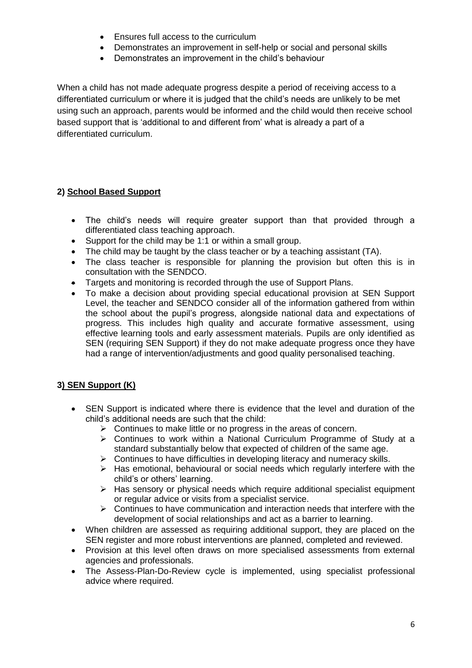- Ensures full access to the curriculum
- Demonstrates an improvement in self-help or social and personal skills
- Demonstrates an improvement in the child's behaviour

When a child has not made adequate progress despite a period of receiving access to a differentiated curriculum or where it is judged that the child's needs are unlikely to be met using such an approach, parents would be informed and the child would then receive school based support that is 'additional to and different from' what is already a part of a differentiated curriculum.

#### **2) School Based Support**

- The child's needs will require greater support than that provided through a differentiated class teaching approach.
- Support for the child may be 1:1 or within a small group.
- The child may be taught by the class teacher or by a teaching assistant (TA).
- The class teacher is responsible for planning the provision but often this is in consultation with the SENDCO.
- Targets and monitoring is recorded through the use of Support Plans.
- To make a decision about providing special educational provision at SEN Support Level, the teacher and SENDCO consider all of the information gathered from within the school about the pupil's progress, alongside national data and expectations of progress. This includes high quality and accurate formative assessment, using effective learning tools and early assessment materials. Pupils are only identified as SEN (requiring SEN Support) if they do not make adequate progress once they have had a range of intervention/adjustments and good quality personalised teaching.

#### **3) SEN Support (K)**

- SEN Support is indicated where there is evidence that the level and duration of the child's additional needs are such that the child:
	- $\triangleright$  Continues to make little or no progress in the areas of concern.
	- ➢ Continues to work within a National Curriculum Programme of Study at a standard substantially below that expected of children of the same age.
	- ➢ Continues to have difficulties in developing literacy and numeracy skills.
	- ➢ Has emotional, behavioural or social needs which regularly interfere with the child's or others' learning.
	- ➢ Has sensory or physical needs which require additional specialist equipment or regular advice or visits from a specialist service.
	- $\triangleright$  Continues to have communication and interaction needs that interfere with the development of social relationships and act as a barrier to learning.
- When children are assessed as requiring additional support, they are placed on the SEN register and more robust interventions are planned, completed and reviewed.
- Provision at this level often draws on more specialised assessments from external agencies and professionals.
- The Assess-Plan-Do-Review cycle is implemented, using specialist professional advice where required.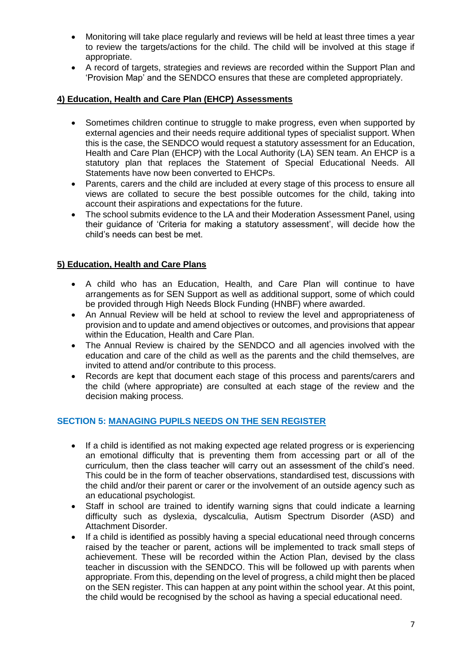- Monitoring will take place regularly and reviews will be held at least three times a year to review the targets/actions for the child. The child will be involved at this stage if appropriate.
- A record of targets, strategies and reviews are recorded within the Support Plan and 'Provision Map' and the SENDCO ensures that these are completed appropriately.

#### **4) Education, Health and Care Plan (EHCP) Assessments**

- Sometimes children continue to struggle to make progress, even when supported by external agencies and their needs require additional types of specialist support. When this is the case, the SENDCO would request a statutory assessment for an Education, Health and Care Plan (EHCP) with the Local Authority (LA) SEN team. An EHCP is a statutory plan that replaces the Statement of Special Educational Needs. All Statements have now been converted to EHCPs.
- Parents, carers and the child are included at every stage of this process to ensure all views are collated to secure the best possible outcomes for the child, taking into account their aspirations and expectations for the future.
- The school submits evidence to the LA and their Moderation Assessment Panel, using their guidance of 'Criteria for making a statutory assessment', will decide how the child's needs can best be met.

#### **5) Education, Health and Care Plans**

- A child who has an Education, Health, and Care Plan will continue to have arrangements as for SEN Support as well as additional support, some of which could be provided through High Needs Block Funding (HNBF) where awarded.
- An Annual Review will be held at school to review the level and appropriateness of provision and to update and amend objectives or outcomes, and provisions that appear within the Education, Health and Care Plan.
- The Annual Review is chaired by the SENDCO and all agencies involved with the education and care of the child as well as the parents and the child themselves, are invited to attend and/or contribute to this process.
- Records are kept that document each stage of this process and parents/carers and the child (where appropriate) are consulted at each stage of the review and the decision making process.

#### **SECTION 5: MANAGING PUPILS NEEDS ON THE SEN REGISTER**

- If a child is identified as not making expected age related progress or is experiencing an emotional difficulty that is preventing them from accessing part or all of the curriculum, then the class teacher will carry out an assessment of the child's need. This could be in the form of teacher observations, standardised test, discussions with the child and/or their parent or carer or the involvement of an outside agency such as an educational psychologist.
- Staff in school are trained to identify warning signs that could indicate a learning difficulty such as dyslexia, dyscalculia, Autism Spectrum Disorder (ASD) and Attachment Disorder.
- If a child is identified as possibly having a special educational need through concerns raised by the teacher or parent, actions will be implemented to track small steps of achievement. These will be recorded within the Action Plan, devised by the class teacher in discussion with the SENDCO. This will be followed up with parents when appropriate. From this, depending on the level of progress, a child might then be placed on the SEN register. This can happen at any point within the school year. At this point, the child would be recognised by the school as having a special educational need.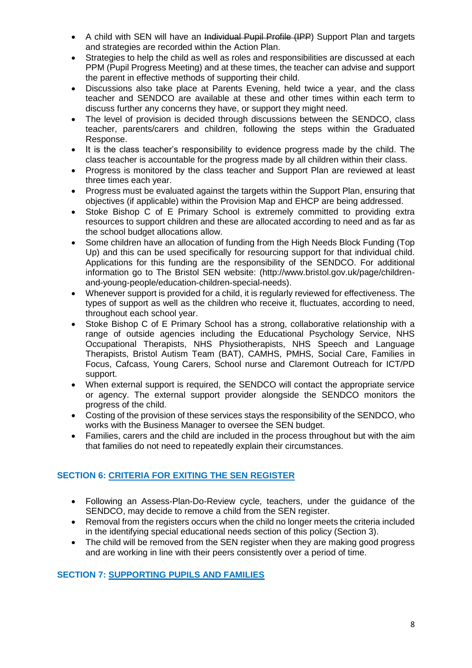- A child with SEN will have an Individual Pupil Profile (IPP) Support Plan and targets and strategies are recorded within the Action Plan.
- Strategies to help the child as well as roles and responsibilities are discussed at each PPM (Pupil Progress Meeting) and at these times, the teacher can advise and support the parent in effective methods of supporting their child.
- Discussions also take place at Parents Evening, held twice a year, and the class teacher and SENDCO are available at these and other times within each term to discuss further any concerns they have, or support they might need.
- The level of provision is decided through discussions between the SENDCO, class teacher, parents/carers and children, following the steps within the Graduated Response.
- It is the class teacher's responsibility to evidence progress made by the child. The class teacher is accountable for the progress made by all children within their class.
- Progress is monitored by the class teacher and Support Plan are reviewed at least three times each year.
- Progress must be evaluated against the targets within the Support Plan, ensuring that objectives (if applicable) within the Provision Map and EHCP are being addressed.
- Stoke Bishop C of E Primary School is extremely committed to providing extra resources to support children and these are allocated according to need and as far as the school budget allocations allow.
- Some children have an allocation of funding from the High Needs Block Funding (Top Up) and this can be used specifically for resourcing support for that individual child. Applications for this funding are the responsibility of the SENDCO. For additional information go to The Bristol SEN website: (http://www.bristol.gov.uk/page/childrenand-young-people/education-children-special-needs).
- Whenever support is provided for a child, it is regularly reviewed for effectiveness. The types of support as well as the children who receive it, fluctuates, according to need, throughout each school year.
- Stoke Bishop C of E Primary School has a strong, collaborative relationship with a range of outside agencies including the Educational Psychology Service, NHS Occupational Therapists, NHS Physiotherapists, NHS Speech and Language Therapists, Bristol Autism Team (BAT), CAMHS, PMHS, Social Care, Families in Focus, Cafcass, Young Carers, School nurse and Claremont Outreach for ICT/PD support.
- When external support is required, the SENDCO will contact the appropriate service or agency. The external support provider alongside the SENDCO monitors the progress of the child.
- Costing of the provision of these services stays the responsibility of the SENDCO, who works with the Business Manager to oversee the SEN budget.
- Families, carers and the child are included in the process throughout but with the aim that families do not need to repeatedly explain their circumstances.

#### **SECTION 6: CRITERIA FOR EXITING THE SEN REGISTER**

- Following an Assess-Plan-Do-Review cycle, teachers, under the guidance of the SENDCO, may decide to remove a child from the SEN register.
- Removal from the registers occurs when the child no longer meets the criteria included in the identifying special educational needs section of this policy (Section 3).
- The child will be removed from the SEN register when they are making good progress and are working in line with their peers consistently over a period of time.

#### **SECTION 7: SUPPORTING PUPILS AND FAMILIES**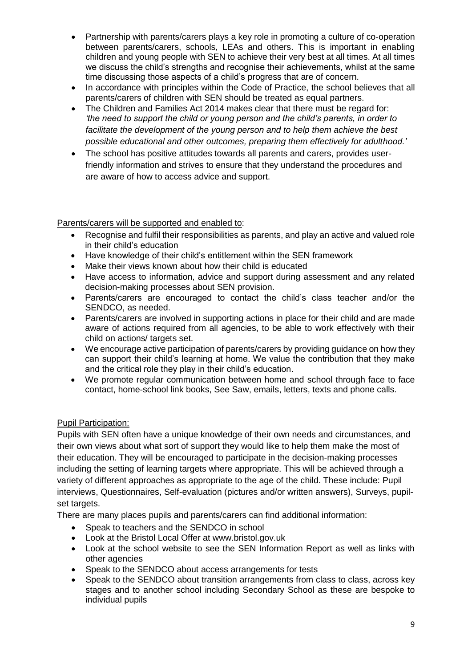- Partnership with parents/carers plays a key role in promoting a culture of co-operation between parents/carers, schools, LEAs and others. This is important in enabling children and young people with SEN to achieve their very best at all times. At all times we discuss the child's strengths and recognise their achievements, whilst at the same time discussing those aspects of a child's progress that are of concern.
- In accordance with principles within the Code of Practice, the school believes that all parents/carers of children with SEN should be treated as equal partners.
- The Children and Families Act 2014 makes clear that there must be regard for: *'the need to support the child or young person and the child's parents, in order to facilitate the development of the young person and to help them achieve the best possible educational and other outcomes, preparing them effectively for adulthood.'*
- The school has positive attitudes towards all parents and carers, provides userfriendly information and strives to ensure that they understand the procedures and are aware of how to access advice and support.

#### Parents/carers will be supported and enabled to:

- Recognise and fulfil their responsibilities as parents, and play an active and valued role in their child's education
- Have knowledge of their child's entitlement within the SEN framework
- Make their views known about how their child is educated
- Have access to information, advice and support during assessment and any related decision-making processes about SEN provision.
- Parents/carers are encouraged to contact the child's class teacher and/or the SENDCO, as needed.
- Parents/carers are involved in supporting actions in place for their child and are made aware of actions required from all agencies, to be able to work effectively with their child on actions/ targets set.
- We encourage active participation of parents/carers by providing guidance on how they can support their child's learning at home. We value the contribution that they make and the critical role they play in their child's education.
- We promote regular communication between home and school through face to face contact, home-school link books, See Saw, emails, letters, texts and phone calls.

#### Pupil Participation:

Pupils with SEN often have a unique knowledge of their own needs and circumstances, and their own views about what sort of support they would like to help them make the most of their education. They will be encouraged to participate in the decision-making processes including the setting of learning targets where appropriate. This will be achieved through a variety of different approaches as appropriate to the age of the child. These include: Pupil interviews, Questionnaires, Self-evaluation (pictures and/or written answers), Surveys, pupilset targets.

There are many places pupils and parents/carers can find additional information:

- Speak to teachers and the SENDCO in school
- Look at the Bristol Local Offer at www.bristol.gov.uk
- Look at the school website to see the SEN Information Report as well as links with other agencies
- Speak to the SENDCO about access arrangements for tests
- Speak to the SENDCO about transition arrangements from class to class, across key stages and to another school including Secondary School as these are bespoke to individual pupils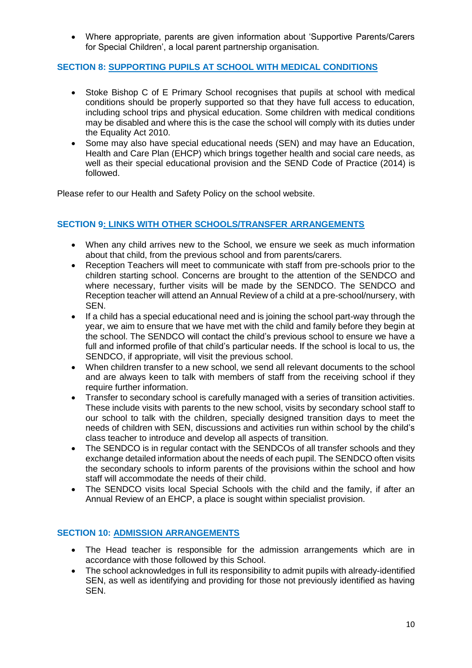• Where appropriate, parents are given information about 'Supportive Parents/Carers for Special Children', a local parent partnership organisation.

#### **SECTION 8: SUPPORTING PUPILS AT SCHOOL WITH MEDICAL CONDITIONS**

- Stoke Bishop C of E Primary School recognises that pupils at school with medical conditions should be properly supported so that they have full access to education, including school trips and physical education. Some children with medical conditions may be disabled and where this is the case the school will comply with its duties under the Equality Act 2010.
- Some may also have special educational needs (SEN) and may have an Education, Health and Care Plan (EHCP) which brings together health and social care needs, as well as their special educational provision and the SEND Code of Practice (2014) is followed.

Please refer to our Health and Safety Policy on the school website.

#### **SECTION 9: LINKS WITH OTHER SCHOOLS/TRANSFER ARRANGEMENTS**

- When any child arrives new to the School, we ensure we seek as much information about that child, from the previous school and from parents/carers.
- Reception Teachers will meet to communicate with staff from pre-schools prior to the children starting school. Concerns are brought to the attention of the SENDCO and where necessary, further visits will be made by the SENDCO. The SENDCO and Reception teacher will attend an Annual Review of a child at a pre-school/nursery, with SEN.
- If a child has a special educational need and is joining the school part-way through the year, we aim to ensure that we have met with the child and family before they begin at the school. The SENDCO will contact the child's previous school to ensure we have a full and informed profile of that child's particular needs. If the school is local to us, the SENDCO, if appropriate, will visit the previous school.
- When children transfer to a new school, we send all relevant documents to the school and are always keen to talk with members of staff from the receiving school if they require further information.
- Transfer to secondary school is carefully managed with a series of transition activities. These include visits with parents to the new school, visits by secondary school staff to our school to talk with the children, specially designed transition days to meet the needs of children with SEN, discussions and activities run within school by the child's class teacher to introduce and develop all aspects of transition.
- The SENDCO is in regular contact with the SENDCOs of all transfer schools and they exchange detailed information about the needs of each pupil. The SENDCO often visits the secondary schools to inform parents of the provisions within the school and how staff will accommodate the needs of their child.
- The SENDCO visits local Special Schools with the child and the family, if after an Annual Review of an EHCP, a place is sought within specialist provision.

#### **SECTION 10: ADMISSION ARRANGEMENTS**

- The Head teacher is responsible for the admission arrangements which are in accordance with those followed by this School.
- The school acknowledges in full its responsibility to admit pupils with already-identified SEN, as well as identifying and providing for those not previously identified as having SEN.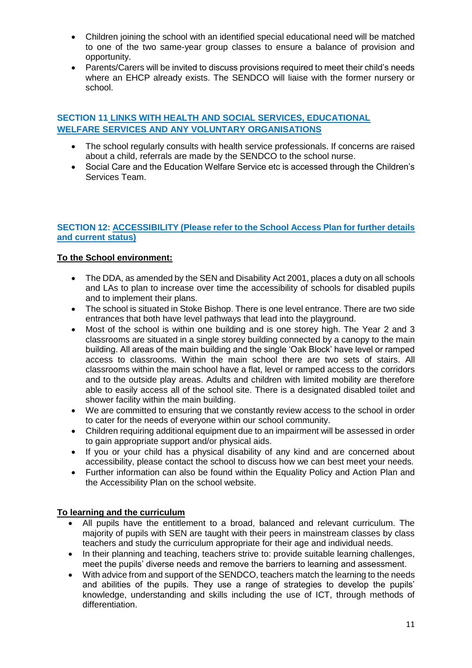- Children joining the school with an identified special educational need will be matched to one of the two same-year group classes to ensure a balance of provision and opportunity.
- Parents/Carers will be invited to discuss provisions required to meet their child's needs where an EHCP already exists. The SENDCO will liaise with the former nursery or school.

#### **SECTION 11 LINKS WITH HEALTH AND SOCIAL SERVICES, EDUCATIONAL WELFARE SERVICES AND ANY VOLUNTARY ORGANISATIONS**

- The school regularly consults with health service professionals. If concerns are raised about a child, referrals are made by the SENDCO to the school nurse.
- Social Care and the Education Welfare Service etc is accessed through the Children's Services Team.

#### **SECTION 12: ACCESSIBILITY (Please refer to the School Access Plan for further details and current status)**

#### **To the School environment:**

- The DDA, as amended by the SEN and Disability Act 2001, places a duty on all schools and LAs to plan to increase over time the accessibility of schools for disabled pupils and to implement their plans.
- The school is situated in Stoke Bishop. There is one level entrance. There are two side entrances that both have level pathways that lead into the playground.
- Most of the school is within one building and is one storey high. The Year 2 and 3 classrooms are situated in a single storey building connected by a canopy to the main building. All areas of the main building and the single 'Oak Block' have level or ramped access to classrooms. Within the main school there are two sets of stairs. All classrooms within the main school have a flat, level or ramped access to the corridors and to the outside play areas. Adults and children with limited mobility are therefore able to easily access all of the school site. There is a designated disabled toilet and shower facility within the main building.
- We are committed to ensuring that we constantly review access to the school in order to cater for the needs of everyone within our school community.
- Children requiring additional equipment due to an impairment will be assessed in order to gain appropriate support and/or physical aids.
- If you or your child has a physical disability of any kind and are concerned about accessibility, please contact the school to discuss how we can best meet your needs.
- Further information can also be found within the Equality Policy and Action Plan and the Accessibility Plan on the school website.

#### **To learning and the curriculum**

- All pupils have the entitlement to a broad, balanced and relevant curriculum. The majority of pupils with SEN are taught with their peers in mainstream classes by class teachers and study the curriculum appropriate for their age and individual needs.
- In their planning and teaching, teachers strive to: provide suitable learning challenges, meet the pupils' diverse needs and remove the barriers to learning and assessment.
- With advice from and support of the SENDCO, teachers match the learning to the needs and abilities of the pupils. They use a range of strategies to develop the pupils' knowledge, understanding and skills including the use of ICT, through methods of differentiation.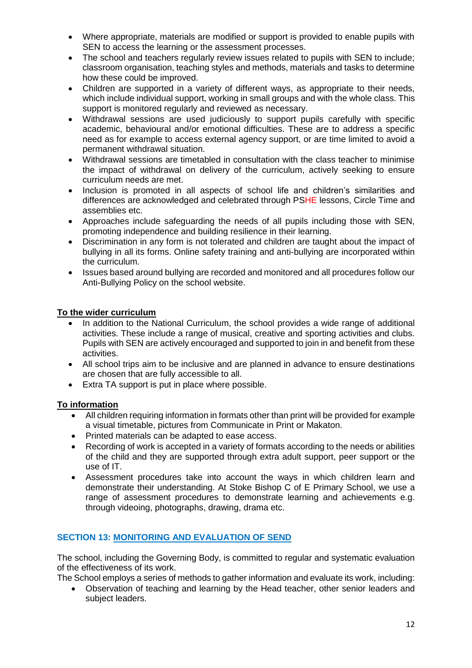- Where appropriate, materials are modified or support is provided to enable pupils with SEN to access the learning or the assessment processes.
- The school and teachers regularly review issues related to pupils with SEN to include: classroom organisation, teaching styles and methods, materials and tasks to determine how these could be improved.
- Children are supported in a variety of different ways, as appropriate to their needs, which include individual support, working in small groups and with the whole class. This support is monitored regularly and reviewed as necessary.
- Withdrawal sessions are used judiciously to support pupils carefully with specific academic, behavioural and/or emotional difficulties. These are to address a specific need as for example to access external agency support, or are time limited to avoid a permanent withdrawal situation.
- Withdrawal sessions are timetabled in consultation with the class teacher to minimise the impact of withdrawal on delivery of the curriculum, actively seeking to ensure curriculum needs are met.
- Inclusion is promoted in all aspects of school life and children's similarities and differences are acknowledged and celebrated through PSHE lessons, Circle Time and assemblies etc.
- Approaches include safeguarding the needs of all pupils including those with SEN, promoting independence and building resilience in their learning.
- Discrimination in any form is not tolerated and children are taught about the impact of bullying in all its forms. Online safety training and anti-bullying are incorporated within the curriculum.
- Issues based around bullying are recorded and monitored and all procedures follow our Anti-Bullying Policy on the school website.

#### **To the wider curriculum**

- In addition to the National Curriculum, the school provides a wide range of additional activities. These include a range of musical, creative and sporting activities and clubs. Pupils with SEN are actively encouraged and supported to join in and benefit from these activities.
- All school trips aim to be inclusive and are planned in advance to ensure destinations are chosen that are fully accessible to all.
- Extra TA support is put in place where possible.

#### **To information**

- All children requiring information in formats other than print will be provided for example a visual timetable, pictures from Communicate in Print or Makaton.
- Printed materials can be adapted to ease access.
- Recording of work is accepted in a variety of formats according to the needs or abilities of the child and they are supported through extra adult support, peer support or the use of IT.
- Assessment procedures take into account the ways in which children learn and demonstrate their understanding. At Stoke Bishop C of E Primary School, we use a range of assessment procedures to demonstrate learning and achievements e.g. through videoing, photographs, drawing, drama etc.

#### **SECTION 13: MONITORING AND EVALUATION OF SEND**

The school, including the Governing Body, is committed to regular and systematic evaluation of the effectiveness of its work.

The School employs a series of methods to gather information and evaluate its work, including:

• Observation of teaching and learning by the Head teacher, other senior leaders and subject leaders.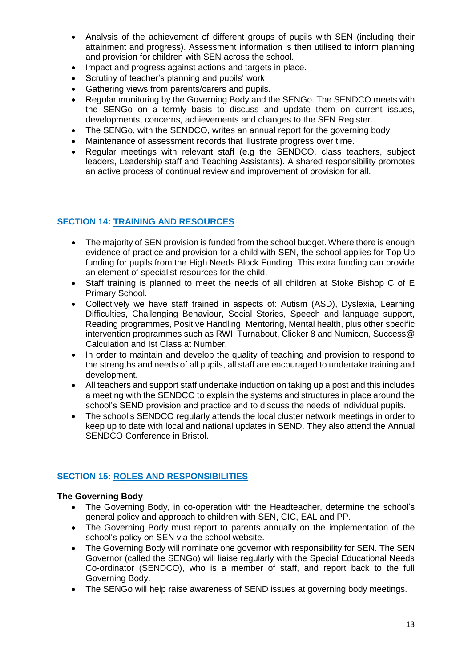- Analysis of the achievement of different groups of pupils with SEN (including their attainment and progress). Assessment information is then utilised to inform planning and provision for children with SEN across the school.
- Impact and progress against actions and targets in place.
- Scrutiny of teacher's planning and pupils' work.
- Gathering views from parents/carers and pupils.
- Regular monitoring by the Governing Body and the SENGo. The SENDCO meets with the SENGo on a termly basis to discuss and update them on current issues, developments, concerns, achievements and changes to the SEN Register.
- The SENGo, with the SENDCO, writes an annual report for the governing body.
- Maintenance of assessment records that illustrate progress over time.
- Regular meetings with relevant staff (e.g the SENDCO, class teachers, subject leaders, Leadership staff and Teaching Assistants). A shared responsibility promotes an active process of continual review and improvement of provision for all.

#### **SECTION 14: TRAINING AND RESOURCES**

- The majority of SEN provision is funded from the school budget. Where there is enough evidence of practice and provision for a child with SEN, the school applies for Top Up funding for pupils from the High Needs Block Funding. This extra funding can provide an element of specialist resources for the child.
- Staff training is planned to meet the needs of all children at Stoke Bishop C of E Primary School.
- Collectively we have staff trained in aspects of: Autism (ASD), Dyslexia, Learning Difficulties, Challenging Behaviour, Social Stories, Speech and language support, Reading programmes, Positive Handling, Mentoring, Mental health, plus other specific intervention programmes such as RWI, Turnabout, Clicker 8 and Numicon, Success@ Calculation and Ist Class at Number.
- In order to maintain and develop the quality of teaching and provision to respond to the strengths and needs of all pupils, all staff are encouraged to undertake training and development.
- All teachers and support staff undertake induction on taking up a post and this includes a meeting with the SENDCO to explain the systems and structures in place around the school's SEND provision and practice and to discuss the needs of individual pupils.
- The school's SENDCO regularly attends the local cluster network meetings in order to keep up to date with local and national updates in SEND. They also attend the Annual SENDCO Conference in Bristol.

#### **SECTION 15: ROLES AND RESPONSIBILITIES**

#### **The Governing Body**

- The Governing Body, in co-operation with the Headteacher, determine the school's general policy and approach to children with SEN, CIC, EAL and PP.
- The Governing Body must report to parents annually on the implementation of the school's policy on SEN via the school website.
- The Governing Body will nominate one governor with responsibility for SEN. The SEN Governor (called the SENGo) will liaise regularly with the Special Educational Needs Co-ordinator (SENDCO), who is a member of staff, and report back to the full Governing Body.
- The SENGo will help raise awareness of SEND issues at governing body meetings.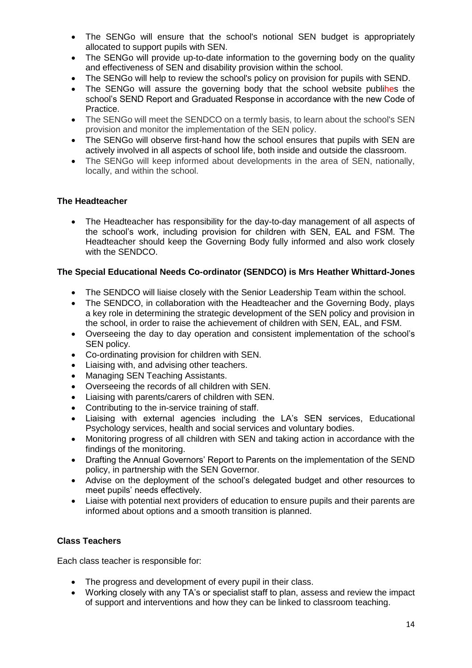- The SENGo will ensure that the school's notional SEN budget is appropriately allocated to support pupils with SEN.
- The SENGo will provide up-to-date information to the governing body on the quality and effectiveness of SEN and disability provision within the school.
- The SENGo will help to review the school's policy on provision for pupils with SEND.
- The SENGo will assure the governing body that the school website publihes the school's SEND Report and Graduated Response in accordance with the new Code of Practice.
- The SENGo will meet the SENDCO on a termly basis, to learn about the school's SEN provision and monitor the implementation of the SEN policy.
- The SENGo will observe first-hand how the school ensures that pupils with SEN are actively involved in all aspects of school life, both inside and outside the classroom.
- The SENGo will keep informed about developments in the area of SEN, nationally, locally, and within the school.

#### **The Headteacher**

• The Headteacher has responsibility for the day-to-day management of all aspects of the school's work, including provision for children with SEN, EAL and FSM. The Headteacher should keep the Governing Body fully informed and also work closely with the SENDCO.

#### **The Special Educational Needs Co-ordinator (SENDCO) is Mrs Heather Whittard-Jones**

- The SENDCO will liaise closely with the Senior Leadership Team within the school.
- The SENDCO, in collaboration with the Headteacher and the Governing Body, plays a key role in determining the strategic development of the SEN policy and provision in the school, in order to raise the achievement of children with SEN, EAL, and FSM.
- Overseeing the day to day operation and consistent implementation of the school's SEN policy.
- Co-ordinating provision for children with SEN.
- Liaising with, and advising other teachers.
- Managing SEN Teaching Assistants.
- Overseeing the records of all children with SEN.
- Liaising with parents/carers of children with SEN.
- Contributing to the in-service training of staff.
- Liaising with external agencies including the LA's SEN services, Educational Psychology services, health and social services and voluntary bodies.
- Monitoring progress of all children with SEN and taking action in accordance with the findings of the monitoring.
- Drafting the Annual Governors' Report to Parents on the implementation of the SEND policy, in partnership with the SEN Governor.
- Advise on the deployment of the school's delegated budget and other resources to meet pupils' needs effectively.
- Liaise with potential next providers of education to ensure pupils and their parents are informed about options and a smooth transition is planned.

#### **Class Teachers**

Each class teacher is responsible for:

- The progress and development of every pupil in their class.
- Working closely with any TA's or specialist staff to plan, assess and review the impact of support and interventions and how they can be linked to classroom teaching.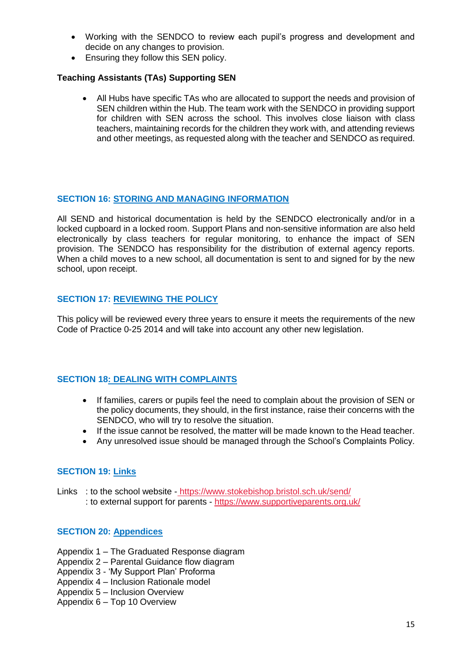- Working with the SENDCO to review each pupil's progress and development and decide on any changes to provision.
- Ensuring they follow this SEN policy.

#### **Teaching Assistants (TAs) Supporting SEN**

• All Hubs have specific TAs who are allocated to support the needs and provision of SEN children within the Hub. The team work with the SENDCO in providing support for children with SEN across the school. This involves close liaison with class teachers, maintaining records for the children they work with, and attending reviews and other meetings, as requested along with the teacher and SENDCO as required.

#### **SECTION 16: STORING AND MANAGING INFORMATION**

All SEND and historical documentation is held by the SENDCO electronically and/or in a locked cupboard in a locked room. Support Plans and non-sensitive information are also held electronically by class teachers for regular monitoring, to enhance the impact of SEN provision. The SENDCO has responsibility for the distribution of external agency reports. When a child moves to a new school, all documentation is sent to and signed for by the new school, upon receipt.

#### **SECTION 17: REVIEWING THE POLICY**

This policy will be reviewed every three years to ensure it meets the requirements of the new Code of Practice 0-25 2014 and will take into account any other new legislation.

#### **SECTION 18: DEALING WITH COMPLAINTS**

- If families, carers or pupils feel the need to complain about the provision of SEN or the policy documents, they should, in the first instance, raise their concerns with the SENDCO, who will try to resolve the situation.
- If the issue cannot be resolved, the matter will be made known to the Head teacher.
- Any unresolved issue should be managed through the School's Complaints Policy.

#### **SECTION 19: Links**

Links : to the school website - <https://www.stokebishop.bristol.sch.uk/send/> : to external support for parents - <https://www.supportiveparents.org.uk/>

#### **SECTION 20: Appendices**

- Appendix 1 The Graduated Response diagram
- Appendix 2 Parental Guidance flow diagram
- Appendix 3 'My Support Plan' Proforma
- Appendix 4 Inclusion Rationale model
- Appendix 5 Inclusion Overview
- Appendix 6 Top 10 Overview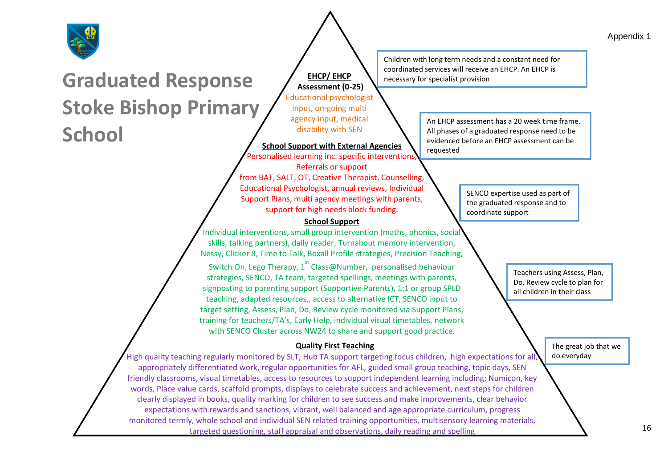



# **Graduated Response Stoke Bishop Primary School**

**EHCP/ EHCP Assessment (0-25)** Educational psychologist

input, on-going multi agency input, medical disability with SEN

**School Support with External Agencies**

Personalised learning inc. specific interventions, Referrals or support

from BAT, SALT, OT, Creative Therapist, Counselling, Educational Psychologist, annual reviews, Individual Support Plans, multi agency meetings with parents, support for high needs block funding.

#### **School Support**

Individual interventions, small group intervention (maths, phonics, social skills, talking partners), daily reader, Turnabout memory intervention, Nessy, Clicker 8, Time to Talk, Boxall Profile strategies, Precision Teaching, Switch On, Lego Therapy, 1<sup>st</sup> Class@Number, personalised behaviour strategies, SENCO, TA team, targeted spellings, meetings with parents, signposting to parenting support (Supportive Parents), 1:1 or group SPLD teaching, adapted resources,, access to alternative ICT, SENCO input to target setting, Assess, Plan, Do, Review cycle monitored via Support Plans, training for teachers/TA's, Early Help, individual visual timetables, network with SENCO Cluster across NW24 to share and support good practice.

#### **Quality First Teaching**

High quality teaching regularly monitored by SLT, Hub TA support targeting focus children, high expectations for all, appropriately differentiated work, regular opportunities for AFL, guided small group teaching, topic days, SEN friendly classrooms, visual timetables, access to resources to support independent learning including: Numicon, key words, Place value cards, scaffold prompts, displays to celebrate success and achievement, next steps for children clearly displayed in books, quality marking for children to see success and make improvements, clear behavior expectations with rewards and sanctions, vibrant, well balanced and age appropriate curriculum, progress monitored termly, whole school and individual SEN related training opportunities, multisensory learning materials, targeted questioning, staff appraisal and observations, daily reading and spelling

Children with long term needs and a constant need for coordinated services will receive an EHCP. An EHCP is necessary for specialist provision

> An EHCP assessment has a 20 week time frame. All phases of a graduated response need to be evidenced before an EHCP assessment can be requested

> > SENCO expertise used as part of the graduated response and to coordinate support

> > > Teachers using Assess, Plan, Do, Review cycle to plan for all children in their class

> > > > The great job that we do everyday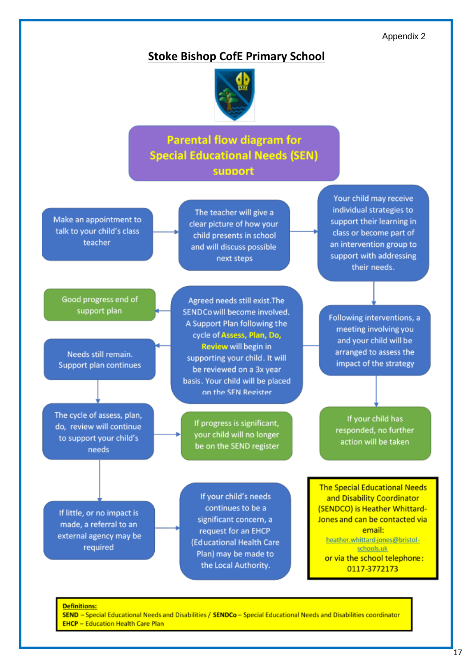Appendix 2

#### **Stoke Bishop CofE Primary School**



### **Parental flow diagram for Special Educational Needs (SEN)** support

Make an appointment to talk to your child's class teacher

The teacher will give a clear picture of how your child presents in school and will discuss possible next steps

Good progress end of support plan

Needs still remain. **Support plan continues** 

The cycle of assess, plan, do, review will continue to support your child's needs

Agreed needs still exist. The SENDCo will become involved. A Support Plan following the cycle of Assess, Plan, Do, Review will begin in supporting your child. It will be reviewed on a 3x year basis. Your child will be placed on the SEN Register

> If progress is significant, your child will no longer be on the SEND register

If little, or no impact is made, a referral to an external agency may be required

If your child's needs continues to be a significant concern, a request for an EHCP (Educational Health Care Plan) may be made to the Local Authority.

Your child may receive individual strategies to support their learning in class or become part of an intervention group to support with addressing their needs.

Following interventions, a meeting involving you and your child will be arranged to assess the impact of the strategy

If your child has responded, no further action will be taken

**The Special Educational Needs** and Disability Coordinator (SENDCO) is Heather Whittard-Jones and can be contacted via email: heather.whittard-jones@bristolschools.uk or via the school telephone: 0117-3772173

#### **Definitions:**

SEND - Special Educational Needs and Disabilities / SENDCo - Special Educational Needs and Disabilities coordinator **EHCP - Education Health Care Plan**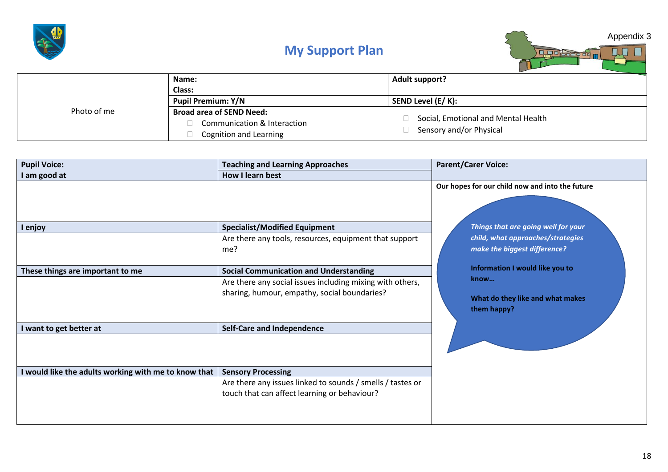

## **My Support Plan**



|             | Name:                                                 | <b>Adult support?</b>               |
|-------------|-------------------------------------------------------|-------------------------------------|
|             | Class:                                                |                                     |
|             | <b>Pupil Premium: Y/N</b>                             | SEND Level (E/ K):                  |
| Photo of me | <b>Broad area of SEND Need:</b>                       |                                     |
|             | Communication & Interaction<br>Cognition and Learning | Social, Emotional and Mental Health |
|             |                                                       | Sensory and/or Physical             |
|             |                                                       |                                     |

| <b>Pupil Voice:</b>                                  | <b>Teaching and Learning Approaches</b>                                                                    | <b>Parent/Carer Voice:</b>                                                                                                                                  |
|------------------------------------------------------|------------------------------------------------------------------------------------------------------------|-------------------------------------------------------------------------------------------------------------------------------------------------------------|
| I am good at                                         | How I learn best                                                                                           |                                                                                                                                                             |
| I enjoy                                              | <b>Specialist/Modified Equipment</b><br>Are there any tools, resources, equipment that support<br>me?      | Our hopes for our child now and into the future<br>Things that are going well for your<br>child, what approaches/strategies<br>make the biggest difference? |
| These things are important to me                     | <b>Social Communication and Understanding</b>                                                              | Information I would like you to                                                                                                                             |
|                                                      | Are there any social issues including mixing with others,<br>sharing, humour, empathy, social boundaries?  | know<br>What do they like and what makes<br>them happy?                                                                                                     |
| I want to get better at                              | <b>Self-Care and Independence</b>                                                                          |                                                                                                                                                             |
| I would like the adults working with me to know that | <b>Sensory Processing</b>                                                                                  |                                                                                                                                                             |
|                                                      | Are there any issues linked to sounds / smells / tastes or<br>touch that can affect learning or behaviour? |                                                                                                                                                             |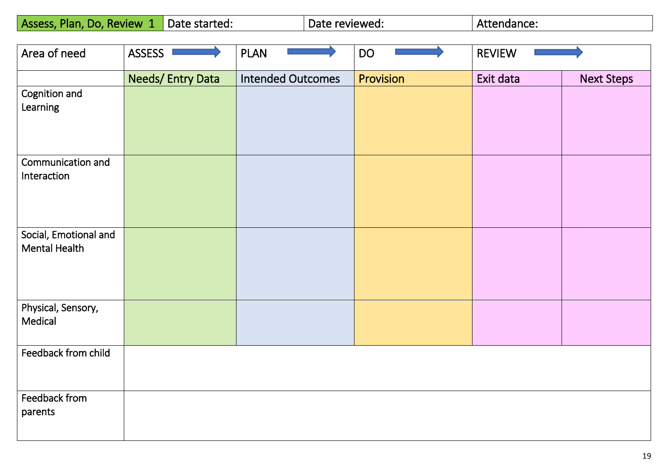| Assess, Plan, Do, Review<br>NH. | Date started: | Date reviewed: | Attendance: |
|---------------------------------|---------------|----------------|-------------|
|---------------------------------|---------------|----------------|-------------|

| Area of need                           | ASSESS <sup>I</sup> | <b>PLAN</b>              | <b>DO</b> | <b>REVIEW</b> |                   |
|----------------------------------------|---------------------|--------------------------|-----------|---------------|-------------------|
|                                        | Needs/Entry Data    | <b>Intended Outcomes</b> | Provision | Exit data     | <b>Next Steps</b> |
| Cognition and<br>Learning              |                     |                          |           |               |                   |
| Communication and                      |                     |                          |           |               |                   |
| Interaction                            |                     |                          |           |               |                   |
| Social, Emotional and<br>Mental Health |                     |                          |           |               |                   |
| Physical, Sensory,<br>Medical          |                     |                          |           |               |                   |
| Feedback from child                    |                     |                          |           |               |                   |
| Feedback from<br>parents               |                     |                          |           |               |                   |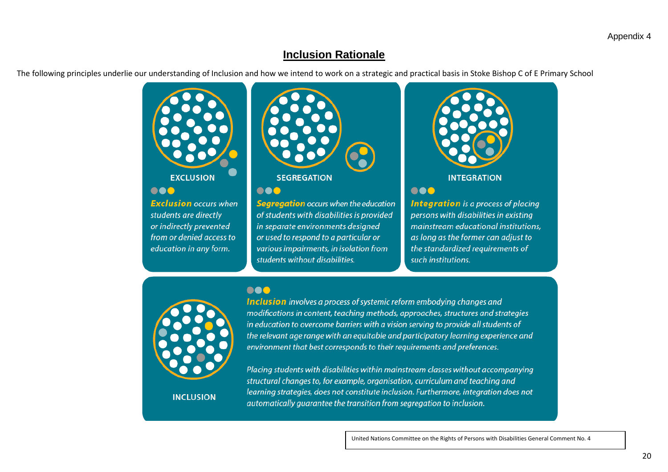### **Inclusion Rationale**

The following principles underlie our understanding of Inclusion and how we intend to work on a strategic and practical basis in Stoke Bishop C of E Primary School



### **EXCLUSION**

000

**Exclusion** occurs when students are directly or indirectly prevented from or denied access to education in any form.



#### ...

000

Segregation occurs when the education of students with disabilities is provided in separate environments designed or used to respond to a particular or various impairments, in isolation from students without disabilities.



#### ...

**Integration** is a process of placing persons with disabilities in existing mainstream educational institutions, as long as the former can adjust to the standardized requirements of such institutions.

**Inclusion** involves a process of systemic reform embodying changes and modifications in content, teaching methods, approaches, structures and strategies in education to overcome barriers with a vision serving to provide all students of the relevant age range with an equitable and participatory learning experience and environment that best corresponds to their requirements and preferences.

**INCLUSION** 

Placing students with disabilities within mainstream classes without accompanying structural changes to, for example, organisation, curriculum and teaching and learning strategies, does not constitute inclusion. Furthermore, integration does not automatically quarantee the transition from segregation to inclusion.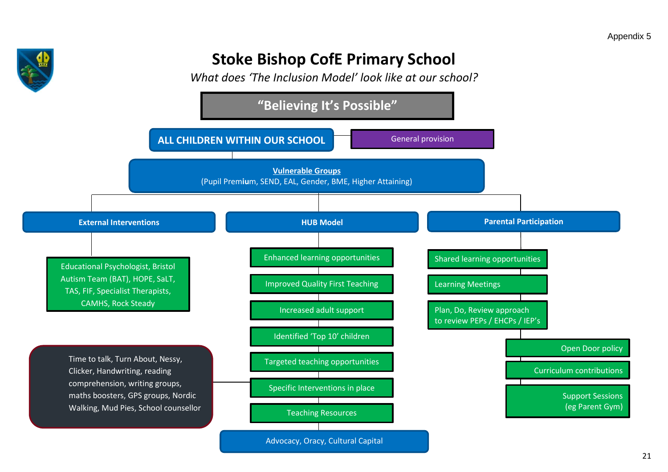

# **Stoke Bishop CofE Primary School**

*What does 'The Inclusion Model' look like at our school?*